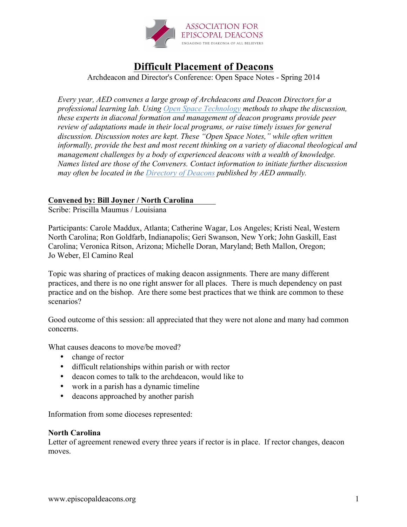

# **Difficult Placement of Deacons**

Archdeacon and Director's Conference: Open Space Notes - Spring 2014

*Every year, AED convenes a large group of Archdeacons and Deacon Directors for a professional learning lab. Using Open Space Technology methods to shape the discussion, these experts in diaconal formation and management of deacon programs provide peer review of adaptations made in their local programs, or raise timely issues for general discussion. Discussion notes are kept. These "Open Space Notes," while often written informally, provide the best and most recent thinking on a variety of diaconal theological and management challenges by a body of experienced deacons with a wealth of knowledge. Names listed are those of the Conveners. Contact information to initiate further discussion may often be located in the Directory of Deacons published by AED annually.*

# **Convened by: Bill Joyner / North Carolina**

Scribe: Priscilla Maumus / Louisiana

Participants: Carole Maddux, Atlanta; Catherine Wagar, Los Angeles; Kristi Neal, Western North Carolina; Ron Goldfarb, Indianapolis; Geri Swanson, New York; John Gaskill, East Carolina; Veronica Ritson, Arizona; Michelle Doran, Maryland; Beth Mallon, Oregon; Jo Weber, El Camino Real

Topic was sharing of practices of making deacon assignments. There are many different practices, and there is no one right answer for all places. There is much dependency on past practice and on the bishop. Are there some best practices that we think are common to these scenarios?

Good outcome of this session: all appreciated that they were not alone and many had common concerns.

What causes deacons to move/be moved?

- change of rector
- difficult relationships within parish or with rector
- deacon comes to talk to the archdeacon, would like to
- work in a parish has a dynamic timeline
- deacons approached by another parish

Information from some dioceses represented:

### **North Carolina**

Letter of agreement renewed every three years if rector is in place. If rector changes, deacon moves.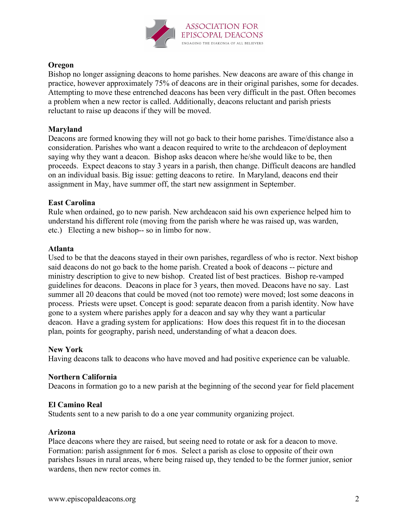

# **Oregon**

Bishop no longer assigning deacons to home parishes. New deacons are aware of this change in practice, however approximately 75% of deacons are in their original parishes, some for decades. Attempting to move these entrenched deacons has been very difficult in the past. Often becomes a problem when a new rector is called. Additionally, deacons reluctant and parish priests reluctant to raise up deacons if they will be moved.

# **Maryland**

Deacons are formed knowing they will not go back to their home parishes. Time/distance also a consideration. Parishes who want a deacon required to write to the archdeacon of deployment saying why they want a deacon. Bishop asks deacon where he/she would like to be, then proceeds. Expect deacons to stay 3 years in a parish, then change. Difficult deacons are handled on an individual basis. Big issue: getting deacons to retire. In Maryland, deacons end their assignment in May, have summer off, the start new assignment in September.

# **East Carolina**

Rule when ordained, go to new parish. New archdeacon said his own experience helped him to understand his different role (moving from the parish where he was raised up, was warden, etc.) Electing a new bishop-- so in limbo for now.

### **Atlanta**

Used to be that the deacons stayed in their own parishes, regardless of who is rector. Next bishop said deacons do not go back to the home parish. Created a book of deacons -- picture and ministry description to give to new bishop. Created list of best practices. Bishop re-vamped guidelines for deacons. Deacons in place for 3 years, then moved. Deacons have no say. Last summer all 20 deacons that could be moved (not too remote) were moved; lost some deacons in process. Priests were upset. Concept is good: separate deacon from a parish identity. Now have gone to a system where parishes apply for a deacon and say why they want a particular deacon. Have a grading system for applications: How does this request fit in to the diocesan plan, points for geography, parish need, understanding of what a deacon does.

### **New York**

Having deacons talk to deacons who have moved and had positive experience can be valuable.

### **Northern California**

Deacons in formation go to a new parish at the beginning of the second year for field placement

### **El Camino Real**

Students sent to a new parish to do a one year community organizing project.

#### **Arizona**

Place deacons where they are raised, but seeing need to rotate or ask for a deacon to move. Formation: parish assignment for 6 mos. Select a parish as close to opposite of their own parishes Issues in rural areas, where being raised up, they tended to be the former junior, senior wardens, then new rector comes in.